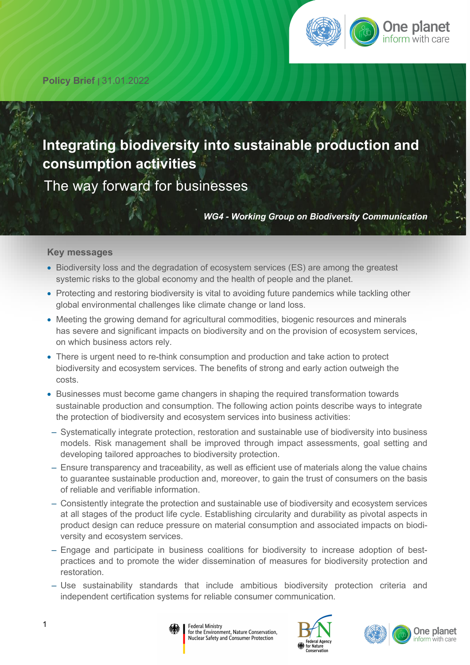

**Policy Brief |** 31.01.2022

# **Integrating biodiversity into sustainable production and consumption activities**

The way forward for businesses

*WG4 - Working Group on Biodiversity Communication*

#### **Key messages**

- Biodiversity loss and the degradation of ecosystem services (ES) are among the greatest systemic risks to the global economy and the health of people and the planet.
- Protecting and restoring biodiversity is vital to avoiding future pandemics while tackling other global environmental challenges like climate change or land loss.
- Meeting the growing demand for agricultural commodities, biogenic resources and minerals has severe and significant impacts on biodiversity and on the provision of ecosystem services, on which business actors rely.
- There is urgent need to re-think consumption and production and take action to protect biodiversity and ecosystem services. The benefits of strong and early action outweigh the costs.
- Businesses must become game changers in shaping the required transformation towards sustainable production and consumption. The following action points describe ways to integrate the protection of biodiversity and ecosystem services into business activities:
- ‒ Systematically integrate protection, restoration and sustainable use of biodiversity into business models. Risk management shall be improved through impact assessments, goal setting and developing tailored approaches to biodiversity protection.
- ‒ Ensure transparency and traceability, as well as efficient use of materials along the value chains to guarantee sustainable production and, moreover, to gain the trust of consumers on the basis of reliable and verifiable information.
- ‒ Consistently integrate the protection and sustainable use of biodiversity and ecosystem services at all stages of the product life cycle. Establishing circularity and durability as pivotal aspects in product design can reduce pressure on material consumption and associated impacts on biodiversity and ecosystem services.
- ‒ Engage and participate in business coalitions for biodiversity to increase adoption of bestpractices and to promote the wider dissemination of measures for biodiversity protection and restoration.
- ‒ Use sustainability standards that include ambitious biodiversity protection criteria and independent certification systems for reliable consumer communication.





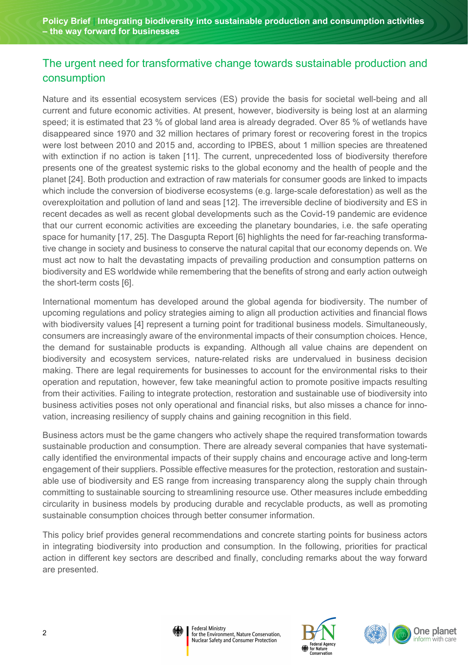# The urgent need for transformative change towards sustainable production and consumption

Nature and its essential ecosystem services (ES) provide the basis for societal well-being and all current and future economic activities. At present, however, biodiversity is being lost at an alarming speed; it is estimated that 23 % of global land area is already degraded. Over 85 % of wetlands have disappeared since 1970 and 32 million hectares of primary forest or recovering forest in the tropics were lost between 2010 and 2015 and, according to IPBES, about 1 million species are threatened with extinction if no action is taken [11]. The current, unprecedented loss of biodiversity therefore presents one of the greatest systemic risks to the global economy and the health of people and the planet [24]. Both production and extraction of raw materials for consumer goods are linked to impacts which include the conversion of biodiverse ecosystems (e.g. large-scale deforestation) as well as the overexploitation and pollution of land and seas [12]. The irreversible decline of biodiversity and ES in recent decades as well as recent global developments such as the Covid-19 pandemic are evidence that our current economic activities are exceeding the planetary boundaries, i.e. the safe operating space for humanity [17, 25]. The Dasgupta Report [6] highlights the need for far-reaching transformative change in society and business to conserve the natural capital that our economy depends on. We must act now to halt the devastating impacts of prevailing production and consumption patterns on biodiversity and ES worldwide while remembering that the benefits of strong and early action outweigh the short-term costs [6].

International momentum has developed around the global agenda for biodiversity. The number of upcoming regulations and policy strategies aiming to align all production activities and financial flows with biodiversity values [4] represent a turning point for traditional business models. Simultaneously, consumers are increasingly aware of the environmental impacts of their consumption choices. Hence, the demand for sustainable products is expanding. Although all value chains are dependent on biodiversity and ecosystem services, nature-related risks are undervalued in business decision making. There are legal requirements for businesses to account for the environmental risks to their operation and reputation, however, few take meaningful action to promote positive impacts resulting from their activities. Failing to integrate protection, restoration and sustainable use of biodiversity into business activities poses not only operational and financial risks, but also misses a chance for innovation, increasing resiliency of supply chains and gaining recognition in this field.

Business actors must be the game changers who actively shape the required transformation towards sustainable production and consumption. There are already several companies that have systematically identified the environmental impacts of their supply chains and encourage active and long-term engagement of their suppliers. Possible effective measures for the protection, restoration and sustainable use of biodiversity and ES range from increasing transparency along the supply chain through committing to sustainable sourcing to streamlining resource use. Other measures include embedding circularity in business models by producing durable and recyclable products, as well as promoting sustainable consumption choices through better consumer information.

This policy brief provides general recommendations and concrete starting points for business actors in integrating biodiversity into production and consumption. In the following, priorities for practical action in different key sectors are described and finally, concluding remarks about the way forward are presented.





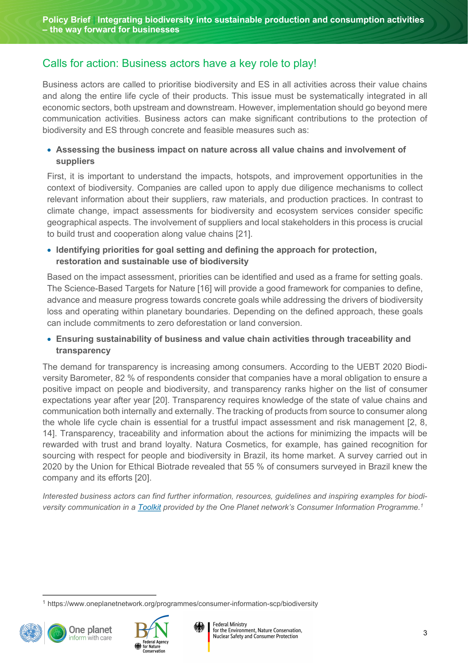# Calls for action: Business actors have a key role to play!

Business actors are called to prioritise biodiversity and ES in all activities across their value chains and along the entire life cycle of their products. This issue must be systematically integrated in all economic sectors, both upstream and downstream. However, implementation should go beyond mere communication activities. Business actors can make significant contributions to the protection of biodiversity and ES through concrete and feasible measures such as:

#### • **Assessing the business impact on nature across all value chains and involvement of suppliers**

First, it is important to understand the impacts, hotspots, and improvement opportunities in the context of biodiversity. Companies are called upon to apply due diligence mechanisms to collect relevant information about their suppliers, raw materials, and production practices. In contrast to climate change, impact assessments for biodiversity and ecosystem services consider specific geographical aspects. The involvement of suppliers and local stakeholders in this process is crucial to build trust and cooperation along value chains [21].

#### • **Identifying priorities for goal setting and defining the approach for protection, restoration and sustainable use of biodiversity**

Based on the impact assessment, priorities can be identified and used as a frame for setting goals. The Science-Based Targets for Nature [16] will provide a good framework for companies to define, advance and measure progress towards concrete goals while addressing the drivers of biodiversity loss and operating within planetary boundaries. Depending on the defined approach, these goals can include commitments to zero deforestation or land conversion.

#### • **Ensuring sustainability of business and value chain activities through traceability and transparency**

The demand for transparency is increasing among consumers. According to the UEBT 2020 Biodiversity Barometer, 82 % of respondents consider that companies have a moral obligation to ensure a positive impact on people and biodiversity, and transparency ranks higher on the list of consumer expectations year after year [20]. Transparency requires knowledge of the state of value chains and communication both internally and externally. The tracking of products from source to consumer along the whole life cycle chain is essential for a trustful impact assessment and risk management [2, 8, 14]. Transparency, traceability and information about the actions for minimizing the impacts will be rewarded with trust and brand loyalty. Natura Cosmetics, for example, has gained recognition for sourcing with respect for people and biodiversity in Brazil, its home market. A survey carried out in 2020 by the Union for Ethical Biotrade revealed that 55 % of consumers surveyed in Brazil knew the company and its efforts [20].

*Interested business actors can find further information, resources, guidelines and inspiring examples for biodiversity communication in a [Toolkit](https://www.oneplanetnetwork.org/programmes/consumer-information-scp/biodiversity) provided by the One Planet network's Consumer Information Programme.[1](#page-2-0)*

<span id="page-2-0"></span>[<sup>1</sup>](#page-2-1) https://www.oneplanetnetwork.org/programmes/consumer-information-scp/biodiversity





<span id="page-2-1"></span>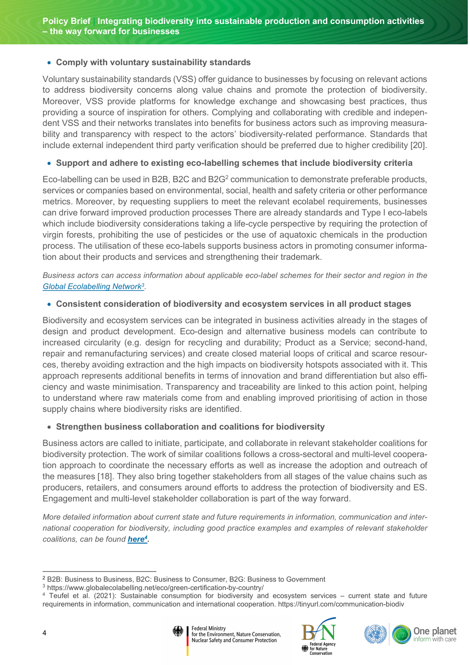#### • **Comply with voluntary sustainability standards**

Voluntary sustainability standards (VSS) offer guidance to businesses by focusing on relevant actions to address biodiversity concerns along value chains and promote the protection of biodiversity. Moreover, VSS provide platforms for knowledge exchange and showcasing best practices, thus providing a source of inspiration for others. Complying and collaborating with credible and independent VSS and their networks translates into benefits for business actors such as improving measurability and transparency with respect to the actors' biodiversity-related performance. Standards that include external independent third party verification should be preferred due to higher credibility [20].

#### <span id="page-3-3"></span>• **Support and adhere to existing eco-labelling schemes that include biodiversity criteria**

Eco-labelling can be used in B[2](#page-3-0)B, B2C and B2G<sup>2</sup> communication to demonstrate preferable products, services or companies based on environmental, social, health and safety criteria or other performance metrics. Moreover, by requesting suppliers to meet the relevant ecolabel requirements, businesses can drive forward improved production processes There are already standards and Type I eco-labels which include biodiversity considerations taking a life-cycle perspective by requiring the protection of virgin forests, prohibiting the use of pesticides or the use of aquatoxic chemicals in the production process. The utilisation of these eco-labels supports business actors in promoting consumer information about their products and services and strengthening their trademark.

*Business actors can access information about applicable eco-label schemes for their sector and region in the [Global Ecolabelling Network](https://www.globalecolabelling.net/eco/green-certification-by-country/)[3](#page-3-1) .*

#### <span id="page-3-4"></span>• **Consistent consideration of biodiversity and ecosystem services in all product stages**

Biodiversity and ecosystem services can be integrated in business activities already in the stages of design and product development. Eco-design and alternative business models can contribute to increased circularity (e.g. design for recycling and durability; Product as a Service; second-hand, repair and remanufacturing services) and create closed material loops of critical and scarce resources, thereby avoiding extraction and the high impacts on biodiversity hotspots associated with it. This approach represents additional benefits in terms of innovation and brand differentiation but also efficiency and waste minimisation. Transparency and traceability are linked to this action point, helping to understand where raw materials come from and enabling improved prioritising of action in those supply chains where biodiversity risks are identified.

#### • **Strengthen business collaboration and coalitions for biodiversity**

Business actors are called to initiate, participate, and collaborate in relevant stakeholder coalitions for biodiversity protection. The work of similar coalitions follows a cross-sectoral and multi-level cooperation approach to coordinate the necessary efforts as well as increase the adoption and outreach of the measures [18]. They also bring together stakeholders from all stages of the value chains such as producers, retailers, and consumers around efforts to address the protection of biodiversity and ES. Engagement and multi-level stakeholder collaboration is part of the way forward.

<span id="page-3-5"></span>*More detailed information about current state and future requirements in information, communication and international cooperation for biodiversity, including good practice examples and examples of relevant stakeholder coalitions, can be found [here](https://www.bfn.de/sites/default/files/2021-12/2021-sustainable-consumption-information-communication-cooperation-bfn_0.pdf)[4](#page-3-2) .* 

<span id="page-3-2"></span>[<sup>4</sup>](#page-3-5) Teufel et al. (2021): Sustainable consumption for biodiversity and ecosystem services – current state and future requirements in information, communication and international cooperation. https://tinyurl.com/communication-biodiv







<span id="page-3-0"></span>[<sup>2</sup>](#page-3-3) B2B: Business to Business, B2C: Business to Consumer, B2G: Business to Government

<span id="page-3-1"></span>[<sup>3</sup>](#page-3-4) https://www.globalecolabelling.net/eco/green-certification-by-country/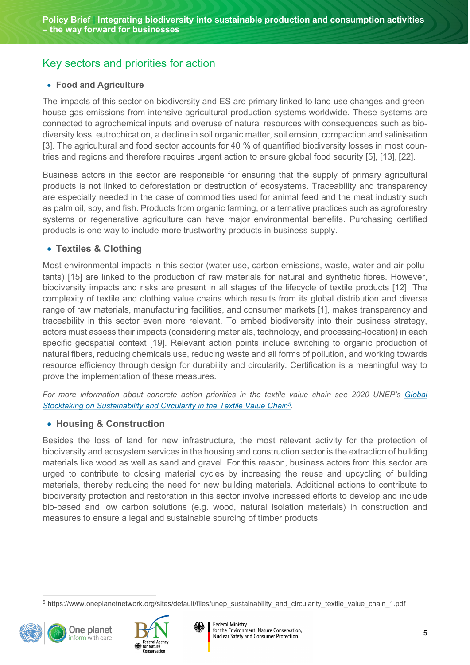# Key sectors and priorities for action

#### • **Food and Agriculture**

The impacts of this sector on biodiversity and ES are primary linked to land use changes and greenhouse gas emissions from intensive agricultural production systems worldwide. These systems are connected to agrochemical inputs and overuse of natural resources with consequences such as biodiversity loss, eutrophication, a decline in soil organic matter, soil erosion, compaction and salinisation [3]. The agricultural and food sector accounts for 40 % of quantified biodiversity losses in most countries and regions and therefore requires urgent action to ensure global food security [5], [13], [22].

Business actors in this sector are responsible for ensuring that the supply of primary agricultural products is not linked to deforestation or destruction of ecosystems. Traceability and transparency are especially needed in the case of commodities used for animal feed and the meat industry such as palm oil, soy, and fish. Products from organic farming, or alternative practices such as agroforestry systems or regenerative agriculture can have major environmental benefits. Purchasing certified products is one way to include more trustworthy products in business supply.

# • **Textiles & Clothing**

Most environmental impacts in this sector (water use, carbon emissions, waste, water and air pollutants) [15] are linked to the production of raw materials for natural and synthetic fibres. However, biodiversity impacts and risks are present in all stages of the lifecycle of textile products [12]. The complexity of textile and clothing value chains which results from its global distribution and diverse range of raw materials, manufacturing facilities, and consumer markets [1], makes transparency and traceability in this sector even more relevant. To embed biodiversity into their business strategy, actors must assess their impacts (considering materials, technology, and processing-location) in each specific geospatial context [19]. Relevant action points include switching to organic production of natural fibers, reducing chemicals use, reducing waste and all forms of pollution, and working towards resource efficiency through design for durability and circularity. Certification is a meaningful way to prove the implementation of these measures.

*For more information about concrete action priorities in the textile value chain see 2020 UNEP's [Global](https://www.oneplanetnetwork.org/sites/default/files/unep_sustainability_and_circularity_textile_value_chain_1.pdf)  [Stocktaking on Sustainability and Circularity in the Textile Value Chain](https://www.oneplanetnetwork.org/sites/default/files/unep_sustainability_and_circularity_textile_value_chain_1.pdf)[5](#page-4-0) .*

# • **Housing & Construction**

Besides the loss of land for new infrastructure, the most relevant activity for the protection of biodiversity and ecosystem services in the housing and construction sector is the extraction of building materials like wood as well as sand and gravel. For this reason, business actors from this sector are urged to contribute to closing material cycles by increasing the reuse and upcycling of building materials, thereby reducing the need for new building materials. Additional actions to contribute to biodiversity protection and restoration in this sector involve increased efforts to develop and include bio-based and low carbon solutions (e.g. wood, natural isolation materials) in construction and measures to ensure a legal and sustainable sourcing of timber products.

<span id="page-4-0"></span>[<sup>5</sup>](#page-4-1) https://www.oneplanetnetwork.org/sites/default/files/unep\_sustainability\_and\_circularity\_textile\_value\_chain\_1.pdf





<span id="page-4-1"></span>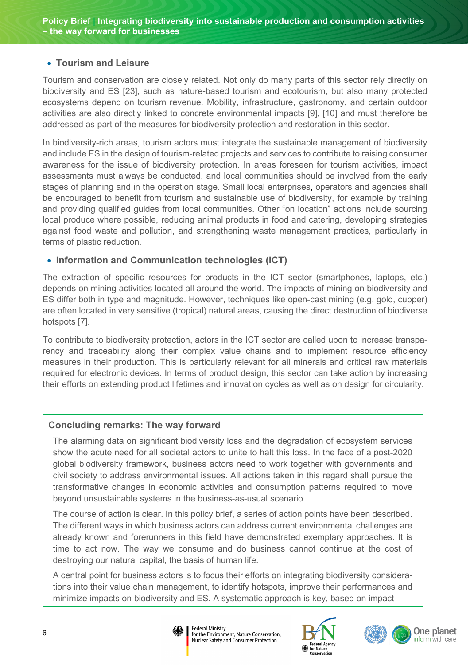### • **Tourism and Leisure**

Tourism and conservation are closely related. Not only do many parts of this sector rely directly on biodiversity and ES [23], such as nature-based tourism and ecotourism, but also many protected ecosystems depend on tourism revenue. Mobility, infrastructure, gastronomy, and certain outdoor activities are also directly linked to concrete environmental impacts [9], [10] and must therefore be addressed as part of the measures for biodiversity protection and restoration in this sector.

In biodiversity-rich areas, tourism actors must integrate the sustainable management of biodiversity and include ES in the design of tourism-related projects and services to contribute to raising consumer awareness for the issue of biodiversity protection. In areas foreseen for tourism activities, impact assessments must always be conducted, and local communities should be involved from the early stages of planning and in the operation stage. Small local enterprises, operators and agencies shall be encouraged to benefit from tourism and sustainable use of biodiversity, for example by training and providing qualified guides from local communities. Other "on location" actions include sourcing local produce where possible, reducing animal products in food and catering, developing strategies against food waste and pollution, and strengthening waste management practices, particularly in terms of plastic reduction.

#### • **Information and Communication technologies (ICT)**

The extraction of specific resources for products in the ICT sector (smartphones, laptops, etc.) depends on mining activities located all around the world. The impacts of mining on biodiversity and ES differ both in type and magnitude. However, techniques like open-cast mining (e.g. gold, cupper) are often located in very sensitive (tropical) natural areas, causing the direct destruction of biodiverse hotspots [7].

To contribute to biodiversity protection, actors in the ICT sector are called upon to increase transparency and traceability along their complex value chains and to implement resource efficiency measures in their production. This is particularly relevant for all minerals and critical raw materials required for electronic devices. In terms of product design, this sector can take action by increasing their efforts on extending product lifetimes and innovation cycles as well as on design for circularity.

# **Concluding remarks: The way forward**

The alarming data on significant biodiversity loss and the degradation of ecosystem services show the acute need for all societal actors to unite to halt this loss. In the face of a post-2020 global biodiversity framework, business actors need to work together with governments and civil society to address environmental issues. All actions taken in this regard shall pursue the transformative changes in economic activities and consumption patterns required to move beyond unsustainable systems in the business-as-usual scenario.

The course of action is clear. In this policy brief, a series of action points have been described. The different ways in which business actors can address current environmental challenges are already known and forerunners in this field have demonstrated exemplary approaches. It is time to act now. The way we consume and do business cannot continue at the cost of destroying our natural capital, the basis of human life.

A central point for business actors is to focus their efforts on integrating biodiversity considerations into their value chain management, to identify hotspots, improve their performances and minimize impacts on biodiversity and ES. A systematic approach is key, based on impact







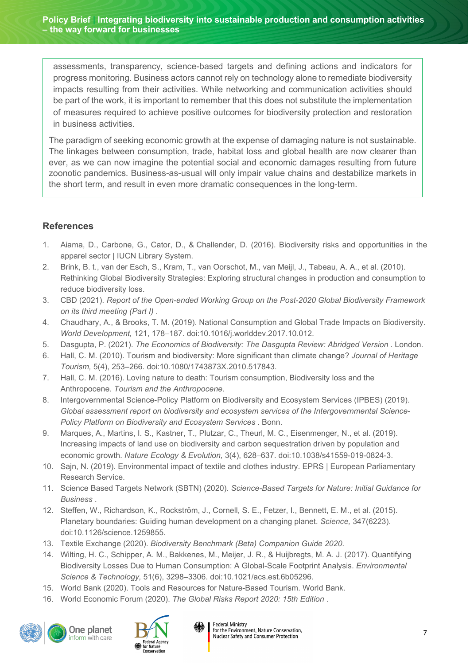assessments, transparency, science-based targets and defining actions and indicators for progress monitoring. Business actors cannot rely on technology alone to remediate biodiversity impacts resulting from their activities. While networking and communication activities should be part of the work, it is important to remember that this does not substitute the implementation of measures required to achieve positive outcomes for biodiversity protection and restoration in business activities.

The paradigm of seeking economic growth at the expense of damaging nature is not sustainable. The linkages between consumption, trade, habitat loss and global health are now clearer than ever, as we can now imagine the potential social and economic damages resulting from future zoonotic pandemics. Business-as-usual will only impair value chains and destabilize markets in the short term, and result in even more dramatic consequences in the long-term.

# **References**

- 1. Aiama, D., Carbone, G., Cator, D., & Challender, D. (2016). Biodiversity risks and opportunities in the apparel sector | IUCN Library System.
- 2. Brink, B. t., van der Esch, S., Kram, T., van Oorschot, M., van Meijl, J., Tabeau, A. A., et al. (2010). Rethinking Global Biodiversity Strategies: Exploring structural changes in production and consumption to reduce biodiversity loss.
- 3. CBD (2021). *Report of the Open-ended Working Group on the Post-2020 Global Biodiversity Framework on its third meeting (Part I)* .
- 4. Chaudhary, A., & Brooks, T. M. (2019). National Consumption and Global Trade Impacts on Biodiversity. *World Development,* 121, 178–187. doi:10.1016/j.worlddev.2017.10.012.
- 5. Dasgupta, P. (2021). *The Economics of Biodiversity: The Dasgupta Review: Abridged Version* . London.
- 6. Hall, C. M. (2010). Tourism and biodiversity: More significant than climate change? *Journal of Heritage Tourism,* 5(4), 253–266. doi:10.1080/1743873X.2010.517843.
- 7. Hall, C. M. (2016). Loving nature to death: Tourism consumption, Biodiversity loss and the Anthropocene. *Tourism and the Anthropocene*.
- 8. Intergovernmental Science-Policy Platform on Biodiversity and Ecosystem Services (IPBES) (2019). *Global assessment report on biodiversity and ecosystem services of the Intergovernmental Science-Policy Platform on Biodiversity and Ecosystem Services* . Bonn.
- 9. Marques, A., Martins, I. S., Kastner, T., Plutzar, C., Theurl, M. C., Eisenmenger, N., et al. (2019). Increasing impacts of land use on biodiversity and carbon sequestration driven by population and economic growth. *Nature Ecology & Evolution,* 3(4), 628–637. doi:10.1038/s41559-019-0824-3.
- 10. Sajn, N. (2019). Environmental impact of textile and clothes industry. EPRS | European Parliamentary Research Service.
- 11. Science Based Targets Network (SBTN) (2020). *Science-Based Targets for Nature: Initial Guidance for Business* .
- 12. Steffen, W., Richardson, K., Rockström, J., Cornell, S. E., Fetzer, I., Bennett, E. M., et al. (2015). Planetary boundaries: Guiding human development on a changing planet. *Science,* 347(6223). doi:10.1126/science.1259855.
- 13. Textile Exchange (2020). *Biodiversity Benchmark (Beta) Companion Guide 2020*.
- 14. Wilting, H. C., Schipper, A. M., Bakkenes, M., Meijer, J. R., & Huijbregts, M. A. J. (2017). Quantifying Biodiversity Losses Due to Human Consumption: A Global-Scale Footprint Analysis. *Environmental Science & Technology,* 51(6), 3298–3306. doi:10.1021/acs.est.6b05296.
- 15. World Bank (2020). Tools and Resources for Nature-Based Tourism. World Bank.
- 16. World Economic Forum (2020). *The Global Risks Report 2020: 15th Edition* .